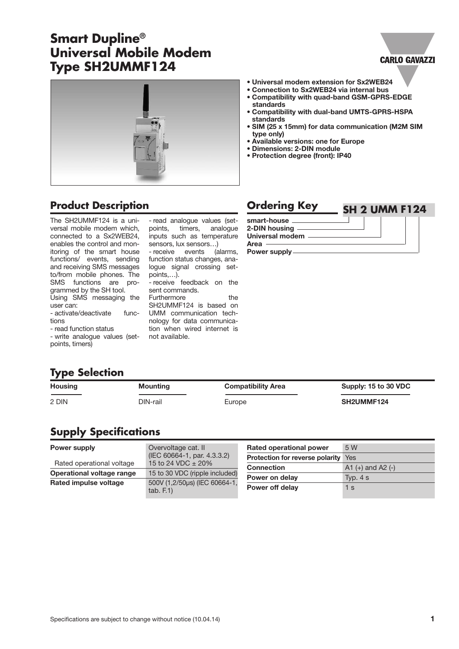# **Smart Dupline® Universal Mobile Modem Type SH2UMMF124**

#### **CARLO GAVAZZI**



# **Product Description Ordering Key**

The SH2UMMF124 is a universal mobile modem which, connected to a Sx2WEB24, enables the control and monitoring of the smart house functions/ events, sending and receiving SMS messages to/from mobile phones. The SMS functions are programmed by the SH tool. Using SMS messaging the user can:

- activate/deactivate functions

- read function status

- write analogue values (setpoints, timers)

- read analogue values (setpoints, timers, analogue inputs such as temperature sensors, lux sensors…)

- receive events (alarms, function status changes, analogue signal crossing setpoints,…).

- receive feedback on the sent commands.

Furthermore the SH2UMMF124 is based on UMM communication technology for data communication when wired internet is not available.

- **• Universal modem extension for Sx2WEB24 • Connection to Sx2WEB24 via internal bus**
- **• Compatibility with quad-band GSM-GPRS-EDGE standards**
- **• Compatibility with dual-band UMTS-GPRS-HSPA standards**
- **• SIM (25 x 15mm) for data communication (M2M SIM type only)**
- **• Available versions: one for Europe**
- **• Dimensions: 2-DIN module**
- **• Protection degree (front): IP40**

#### **smart-house 2-DIN housing SH 2 UMM F124**

**Universal modem Area**

**Power supply**

|  | <b>Type Selection</b> |
|--|-----------------------|
|  |                       |

| <b>Housing</b> | Mounting | <b>Compatibility Area</b> | Supply: 15 to 30 VDC |
|----------------|----------|---------------------------|----------------------|
| 2 DIN          | DIN-rail | Europe                    | SH2UMMF124           |

# **Supply Specifications**

| Power supply              | Overvoltage cat. II                                   | <b>Rated operational power</b>             | 5 W                   |
|---------------------------|-------------------------------------------------------|--------------------------------------------|-----------------------|
| Rated operational voltage | (IEC 60664-1, par. 4.3.3.2)<br>15 to 24 VDC $\pm$ 20% | <b>Protection for reverse polarity</b> Yes |                       |
|                           |                                                       | <b>Connection</b>                          | A1 $(+)$ and A2 $(-)$ |
| Operational voltage range | 15 to 30 VDC (ripple included)                        | Power on delay                             | Typ. $4 s$            |
| Rated impulse voltage     | 500V (1,2/50µs) (IEC 60664-1,<br>tab. F.1)            |                                            |                       |
|                           |                                                       | Power off delay                            | 1 s                   |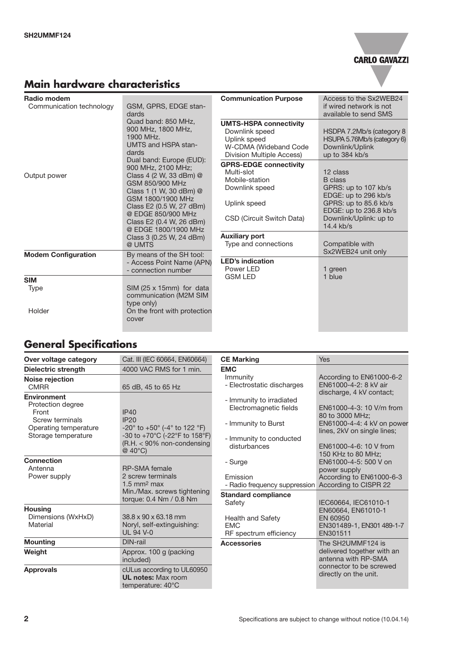# **CARLO GAVAZZI**

# **Main hardware characteristics**

| Radio modem                |                                                                                                                                                                                                                                                                                                                                                                                                                             | <b>Communication Purpose</b>                                                                                                 | Access to the Sx2WEB24                                                                                                                                                 |
|----------------------------|-----------------------------------------------------------------------------------------------------------------------------------------------------------------------------------------------------------------------------------------------------------------------------------------------------------------------------------------------------------------------------------------------------------------------------|------------------------------------------------------------------------------------------------------------------------------|------------------------------------------------------------------------------------------------------------------------------------------------------------------------|
| Communication technology   | GSM, GPRS, EDGE stan-<br>dards<br>Quad band: 850 MHz,<br>900 MHz, 1800 MHz,<br>1900 MHz.<br><b>UMTS and HSPA stan-</b><br>dards<br>Dual band: Europe (EUD):<br>900 MHz, 2100 MHz;<br>Class 4 (2 W, 33 dBm) @<br>GSM 850/900 MHz<br>Class 1 (1 W, 30 dBm) @<br>GSM 1800/1900 MHz<br>Class E2 (0.5 W, 27 dBm)<br>@ EDGE 850/900 MHz<br>Class E2 (0.4 W, 26 dBm)<br>@ EDGE 1800/1900 MHz<br>Class 3 (0.25 W, 24 dBm)<br>@ UMTS |                                                                                                                              | if wired network is not<br>available to send SMS                                                                                                                       |
|                            |                                                                                                                                                                                                                                                                                                                                                                                                                             | <b>UMTS-HSPA connectivity</b><br>Downlink speed<br>Uplink speed<br>W-CDMA (Wideband Code<br>Division Multiple Access)        | HSDPA 7.2Mb/s (category 8<br>HSUPA 5.76Mb/s (category 6)<br>Downlink/Uplink<br>up to 384 kb/s                                                                          |
| Output power               |                                                                                                                                                                                                                                                                                                                                                                                                                             | <b>GPRS-EDGE connectivity</b><br>Multi-slot<br>Mobile-station<br>Downlink speed<br>Uplink speed<br>CSD (Circuit Switch Data) | 12 class<br><b>B</b> class<br>GPRS: up to 107 kb/s<br>EDGE: up to 296 kb/s<br>GPRS: up to 85.6 kb/s<br>EDGE: up to 236.8 kb/s<br>Downlink/Uplink: up to<br>$14.4$ kb/s |
|                            |                                                                                                                                                                                                                                                                                                                                                                                                                             | <b>Auxiliary port</b><br>Type and connections                                                                                | Compatible with<br>Sx2WEB24 unit only                                                                                                                                  |
| <b>Modem Configuration</b> | By means of the SH tool:<br>- Access Point Name (APN)<br>- connection number                                                                                                                                                                                                                                                                                                                                                | <b>LED's indication</b><br>Power LED                                                                                         | 1 green                                                                                                                                                                |
| <b>SIM</b>                 |                                                                                                                                                                                                                                                                                                                                                                                                                             | <b>GSM LED</b>                                                                                                               | 1 blue                                                                                                                                                                 |
| Type<br>Holder             | SIM (25 x 15mm) for data<br>communication (M2M SIM<br>type only)<br>On the front with protection                                                                                                                                                                                                                                                                                                                            |                                                                                                                              |                                                                                                                                                                        |
|                            | cover                                                                                                                                                                                                                                                                                                                                                                                                                       |                                                                                                                              |                                                                                                                                                                        |

# **General Specifications**

| Over voltage category                                                                                               | Cat. III (IEC 60664, EN60664)                                                                                                                                                | <b>CE Marking</b>                                                                                                    | <b>Yes</b>                                                                                                                                                                           |
|---------------------------------------------------------------------------------------------------------------------|------------------------------------------------------------------------------------------------------------------------------------------------------------------------------|----------------------------------------------------------------------------------------------------------------------|--------------------------------------------------------------------------------------------------------------------------------------------------------------------------------------|
| Dielectric strength                                                                                                 | 4000 VAC RMS for 1 min.                                                                                                                                                      | <b>EMC</b>                                                                                                           |                                                                                                                                                                                      |
| Noise rejection<br><b>CMRR</b>                                                                                      | 65 dB, 45 to 65 Hz                                                                                                                                                           | Immunity<br>- Electrostatic discharges                                                                               | According to EN61000-6-2<br>EN61000-4-2: 8 kV air                                                                                                                                    |
| <b>Environment</b><br>Protection degree<br>Front<br>Screw terminals<br>Operating temperature<br>Storage temperature | IP40<br><b>IP20</b><br>$-20^{\circ}$ to $+50^{\circ}$ (-4 $^{\circ}$ to 122 $^{\circ}$ F)<br>-30 to +70°C (-22°F to 158°F)<br>$(R.H. < 90\%$ non-condensing<br>$@$ 40 $°C$ ) | - Immunity to irradiated<br>Electromagnetic fields<br>- Immunity to Burst<br>- Immunity to conducted<br>disturbances | discharge, 4 kV contact;<br>EN61000-4-3: 10 V/m from<br>80 to 3000 MHz:<br>EN61000-4-4: 4 kV on power<br>lines, 2kV on single lines;<br>EN61000-4-6: 10 V from<br>150 KHz to 80 MHz: |
| <b>Connection</b><br>Antenna<br>Power supply                                                                        | <b>RP-SMA</b> female<br>2 screw terminals<br>$1.5$ mm <sup>2</sup> max<br>Min./Max. screws tightening<br>torque: 0.4 Nm / 0.8 Nm                                             | - Surge<br>Emission<br>- Radio frequency suppression<br><b>Standard compliance</b>                                   | EN61000-4-5: 500 V on<br>power supply<br>According to EN61000-6-3<br>According to CISPR 22                                                                                           |
| <b>Housing</b><br>Dimensions (WxHxD)<br>Material                                                                    | $38.8 \times 90 \times 63.18$ mm<br>Noryl, self-extinguishing:<br><b>UL 94 V-0</b>                                                                                           | Safety<br>Health and Safety<br><b>EMC</b><br>RF spectrum efficiency                                                  | IEC60664, IEC61010-1<br>EN60664, EN61010-1<br>EN 60950<br>EN301489-1, EN301 489-1-7<br>EN301511                                                                                      |
| <b>Mounting</b>                                                                                                     | DIN-rail                                                                                                                                                                     | <b>Accessories</b>                                                                                                   | The SH2UMMF124 is                                                                                                                                                                    |
| Weight                                                                                                              | Approx. 100 g (packing<br>included)                                                                                                                                          |                                                                                                                      | delivered together with an<br>antenna with RP-SMA                                                                                                                                    |
| <b>Approvals</b>                                                                                                    | cULus according to UL60950<br><b>UL notes: Max room</b><br>temperature: 40°C                                                                                                 |                                                                                                                      | connector to be screwed<br>directly on the unit.                                                                                                                                     |